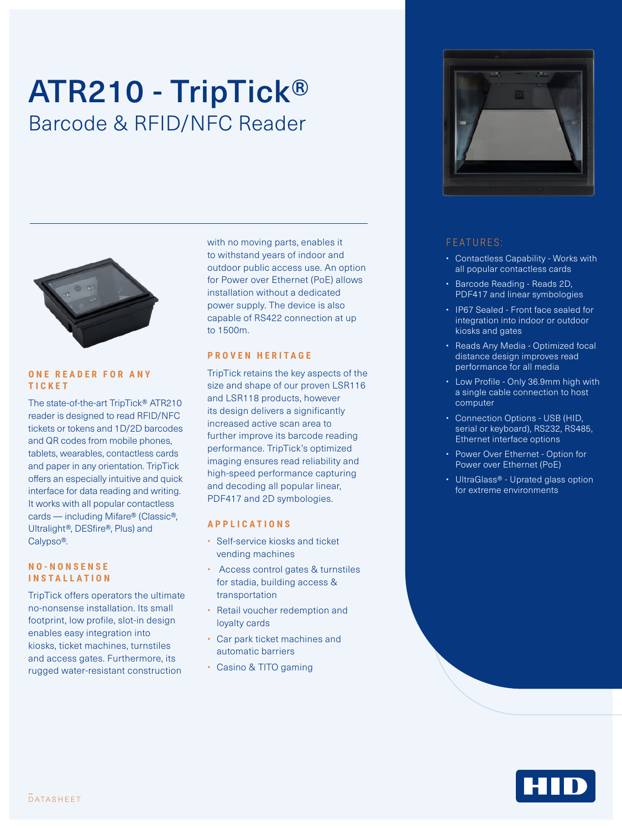# ATR210 - TripTick® Barcode & RFID/NFC Reader



#### **O N E R E A D E R F O R A N Y TICKET**

The state-of-the-art TripTick® ATR210 reader is designed to read RFID/NFC tickets or tokens and 1D/2D barcodes and QR codes from mobile phones, tablets, wearables, contactless cards and paper in any orientation. TripTick offers an especially intuitive and quick interface for data reading and writing. It works with all popular contactless cards — including Mifare® (Classic®, Ultralight®, DESfire®, Plus) and Calypso®.

#### **N O - N O N S E N S E INSTALLATION**

TripTick offers operators the ultimate no-nonsense installation. Its small footprint, low profile, slot-in design enables easy integration into kiosks, ticket machines, turnstiles and access gates. Furthermore, its rugged water-resistant construction

with no moving parts, enables it to withstand years of indoor and outdoor public access use. An option for Power over Ethernet (PoE) allows installation without a dedicated power supply. The device is also capable of RS422 connection at up to 1500m.

#### **PROVEN HERITAGE**

TripTick retains the key aspects of the size and shape of our proven LSR116 and LSR118 products, however its design delivers a significantly increased active scan area to further improve its barcode reading performance. TripTick's optimized imaging ensures read reliability and high-speed performance capturing and decoding all popular linear, PDF417 and 2D symbologies.

#### **APPLICATIONS**

- Self-service kiosks and ticket vending machines
- Access control gates & turnstiles for stadia, building access & transportation
- Retail voucher redemption and loyalty cards
- Car park ticket machines and automatic barriers
- Casino & TITO gaming



### FEATURES:

- Contactless Capability Works with all popular contactless cards
- Barcode Reading Reads 2D, PDF417 and linear symbologies
- IP67 Sealed Front face sealed for integration into indoor or outdoor kiosks and gates
- Reads Any Media Optimized focal distance design improves read performance for all media
- Low Profile Only 36.9mm high with a single cable connection to host computer
- Connection Options USB (HID, serial or keyboard), RS232, RS485, Ethernet interface options
- Power Over Ethernet Option for Power over Ethernet (PoE)
- UltraGlass® Uprated glass option for extreme environments